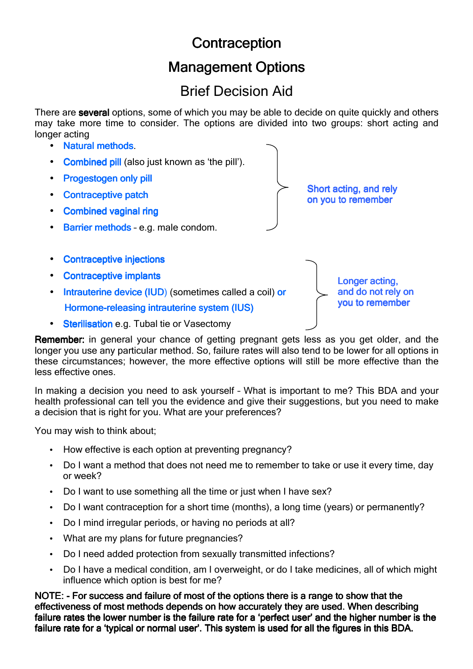# **Contraception**

## **Management Options**

## Brief Decision Aid

There are several options, some of which you may be able to decide on quite quickly and others may take more time to consider. The options are divided into two groups: short acting and longer acting



Remember: in general your chance of getting pregnant gets less as you get older, and the longer you use any particular method. So, failure rates will also tend to be lower for all options in these circumstances; however, the more effective options will still be more effective than the less effective ones.

In making a decision you need to ask yourself – What is important to me? This BDA and your health professional can tell you the evidence and give their suggestions, but you need to make a decision that is right for you. What are your preferences?

You may wish to think about;

- How effective is each option at preventing pregnancy?
- Do I want a method that does not need me to remember to take or use it every time, day or week?
- Do I want to use something all the time or just when I have sex?
- Do I want contraception for a short time (months), a long time (years) or permanently?
- Do I mind irregular periods, or having no periods at all?
- What are my plans for future pregnancies?
- Do I need added protection from sexually transmitted infections?
- Do I have a medical condition, am I overweight, or do I take medicines, all of which might influence which option is best for me?

NOTE: - For success and failure of most of the options there is a range to show that the effectiveness of most methods depends on how accurately they are used. When describing failure rates the lower number is the failure rate for a 'perfect user' and the higher number is the failure rate for a 'typical or normal user'. This system is used for all the figures in this BDA.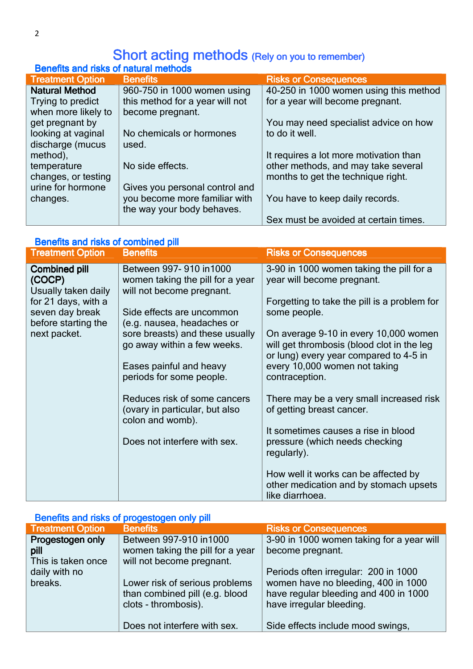### Short acting methods (Rely on you to remember)

| <b>Benefits and risks of natural methods</b> |                                 |                                        |
|----------------------------------------------|---------------------------------|----------------------------------------|
| <b>Treatment Option</b>                      | <b>Benefits</b>                 | <b>Risks or Consequences</b>           |
| <b>Natural Method</b>                        | 960-750 in 1000 women using     | 40-250 in 1000 women using this method |
| Trying to predict                            | this method for a year will not | for a year will become pregnant.       |
| when more likely to                          | become pregnant.                |                                        |
| get pregnant by                              |                                 | You may need specialist advice on how  |
| looking at vaginal                           | No chemicals or hormones        | to do it well.                         |
| discharge (mucus                             | used.                           |                                        |
| method),                                     |                                 | It requires a lot more motivation than |
| temperature                                  | No side effects.                | other methods, and may take several    |
| changes, or testing                          |                                 | months to get the technique right.     |
| urine for hormone                            | Gives you personal control and  |                                        |
| changes.                                     | you become more familiar with   | You have to keep daily records.        |
|                                              | the way your body behaves.      |                                        |
|                                              |                                 | Sex must be avoided at certain times.  |

#### Benefits and risks of combined pill

| <b>Treatment Option</b>                               | <b>Benefits</b>                                                                              | <b>Risks or Consequences</b>                                                                                                  |
|-------------------------------------------------------|----------------------------------------------------------------------------------------------|-------------------------------------------------------------------------------------------------------------------------------|
| <b>Combined pill</b><br>(COCP)<br>Usually taken daily | Between 997-910 in 1000<br>women taking the pill for a year<br>will not become pregnant.     | 3-90 in 1000 women taking the pill for a<br>year will become pregnant.                                                        |
| for 21 days, with a<br>seven day break                | Side effects are uncommon                                                                    | Forgetting to take the pill is a problem for<br>some people.                                                                  |
| before starting the<br>next packet.                   | (e.g. nausea, headaches or<br>sore breasts) and these usually<br>go away within a few weeks. | On average 9-10 in every 10,000 women<br>will get thrombosis (blood clot in the leg<br>or lung) every year compared to 4-5 in |
|                                                       | Eases painful and heavy<br>periods for some people.                                          | every 10,000 women not taking<br>contraception.                                                                               |
|                                                       | Reduces risk of some cancers<br>(ovary in particular, but also<br>colon and womb).           | There may be a very small increased risk<br>of getting breast cancer.                                                         |
|                                                       | Does not interfere with sex.                                                                 | It sometimes causes a rise in blood<br>pressure (which needs checking<br>regularly).                                          |
|                                                       |                                                                                              | How well it works can be affected by<br>other medication and by stomach upsets<br>like diarrhoea.                             |

### Benefits and risks of progestogen only pill

| <b>Treatment Option</b> | <b>Benefits</b>                  | <b>Risks or Consequences</b>              |
|-------------------------|----------------------------------|-------------------------------------------|
| Progestogen only        | Between 997-910 in 1000          | 3-90 in 1000 women taking for a year will |
| pill                    | women taking the pill for a year | become pregnant.                          |
| This is taken once      | will not become pregnant.        |                                           |
| daily with no           |                                  | Periods often irregular: 200 in 1000      |
| breaks.                 | Lower risk of serious problems   | women have no bleeding, 400 in 1000       |
|                         | than combined pill (e.g. blood   | have regular bleeding and 400 in 1000     |
|                         | clots - thrombosis).             | have irregular bleeding.                  |
|                         |                                  |                                           |
|                         | Does not interfere with sex.     | Side effects include mood swings,         |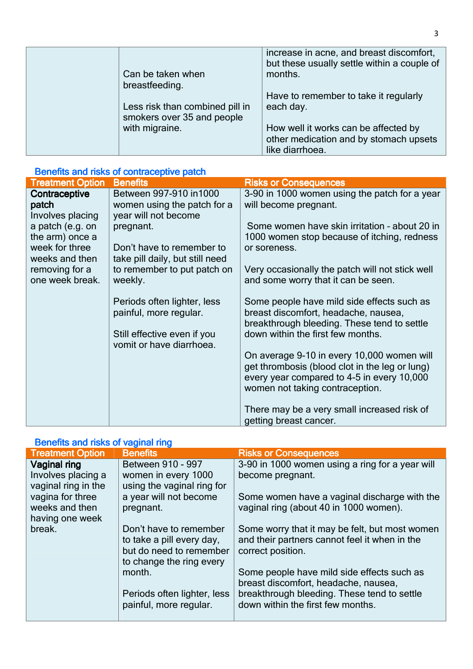| Can be taken when                                             | increase in acne, and breast discomfort,<br>but these usually settle within a couple of<br>months. |
|---------------------------------------------------------------|----------------------------------------------------------------------------------------------------|
| breastfeeding.                                                |                                                                                                    |
|                                                               | Have to remember to take it regularly                                                              |
| Less risk than combined pill in<br>smokers over 35 and people | each day.                                                                                          |
| with migraine.                                                | How well it works can be affected by                                                               |
|                                                               | other medication and by stomach upsets                                                             |
|                                                               | like diarrhoea.                                                                                    |

#### Benefits and risks of contraceptive patch

| <b>Treatment Option</b>                    | <b>Benefits</b>                                                                | <b>Risks or Consequences</b>                                                                                                               |
|--------------------------------------------|--------------------------------------------------------------------------------|--------------------------------------------------------------------------------------------------------------------------------------------|
| Contraceptive<br>patch<br>Involves placing | Between 997-910 in 1000<br>women using the patch for a<br>year will not become | 3-90 in 1000 women using the patch for a year<br>will become pregnant.                                                                     |
| a patch (e.g. on<br>the arm) once a        | pregnant.                                                                      | Some women have skin irritation - about 20 in<br>1000 women stop because of itching, redness                                               |
| week for three<br>weeks and then           | Don't have to remember to<br>take pill daily, but still need                   | or soreness.                                                                                                                               |
| removing for a<br>one week break.          | to remember to put patch on<br>weekly.                                         | Very occasionally the patch will not stick well<br>and some worry that it can be seen.                                                     |
|                                            | Periods often lighter, less<br>painful, more regular.                          | Some people have mild side effects such as<br>breast discomfort, headache, nausea,<br>breakthrough bleeding. These tend to settle          |
|                                            | Still effective even if you<br>vomit or have diarrhoea.                        | down within the first few months.                                                                                                          |
|                                            |                                                                                | On average 9-10 in every 10,000 women will<br>get thrombosis (blood clot in the leg or lung)<br>every year compared to 4-5 in every 10,000 |
|                                            |                                                                                | women not taking contraception.                                                                                                            |
|                                            |                                                                                | There may be a very small increased risk of<br>getting breast cancer.                                                                      |

### Benefits and risks of vaginal ring

| <b>Treatment Option</b>                   | <b>Benefits</b>                                       | <b>Risks or Consequences</b>                                                           |
|-------------------------------------------|-------------------------------------------------------|----------------------------------------------------------------------------------------|
| Vaginal ring                              | Between 910 - 997                                     | 3-90 in 1000 women using a ring for a year will                                        |
| Involves placing a<br>vaginal ring in the | women in every 1000<br>using the vaginal ring for     | become pregnant.                                                                       |
| vagina for three<br>weeks and then        | a year will not become<br>pregnant.                   | Some women have a vaginal discharge with the<br>vaginal ring (about 40 in 1000 women). |
| having one week<br>break.                 | Don't have to remember                                | Some worry that it may be felt, but most women                                         |
|                                           | to take a pill every day,                             | and their partners cannot feel it when in the                                          |
|                                           | but do need to remember<br>to change the ring every   | correct position.                                                                      |
|                                           | month.                                                | Some people have mild side effects such as<br>breast discomfort, headache, nausea,     |
|                                           | Periods often lighter, less<br>painful, more regular. | breakthrough bleeding. These tend to settle<br>down within the first few months.       |
|                                           |                                                       |                                                                                        |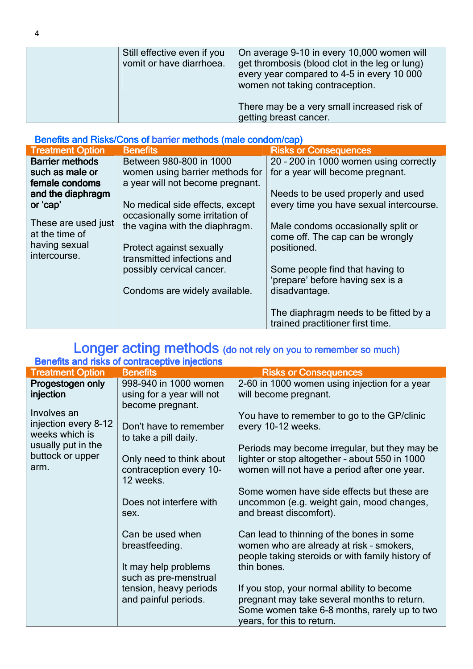| Still effective even if you<br>vomit or have diarrhoea. | On average 9-10 in every 10,000 women will<br>get thrombosis (blood clot in the leg or lung)<br>every year compared to 4-5 in every 10 000<br>women not taking contraception.<br>There may be a very small increased risk of<br>getting breast cancer. |
|---------------------------------------------------------|--------------------------------------------------------------------------------------------------------------------------------------------------------------------------------------------------------------------------------------------------------|
|                                                         |                                                                                                                                                                                                                                                        |

| Benefits and Risks/Cons of barrier methods (male condom/cap) |                                                                    |                                                                           |
|--------------------------------------------------------------|--------------------------------------------------------------------|---------------------------------------------------------------------------|
| <b>Treatment Option</b>                                      | <b>Benefits</b>                                                    | <b>Risks or Consequences</b>                                              |
| <b>Barrier methods</b>                                       | Between 980-800 in 1000                                            | 20 - 200 in 1000 women using correctly                                    |
| such as male or                                              | women using barrier methods for                                    | for a year will become pregnant.                                          |
| female condoms                                               | a year will not become pregnant.                                   |                                                                           |
| and the diaphragm                                            |                                                                    | Needs to be used properly and used                                        |
| or 'cap'                                                     | No medical side effects, except<br>occasionally some irritation of | every time you have sexual intercourse.                                   |
| These are used just<br>at the time of                        | the vagina with the diaphragm.                                     | Male condoms occasionally split or<br>come off. The cap can be wrongly    |
| having sexual                                                | Protect against sexually                                           | positioned.                                                               |
| intercourse.                                                 | transmitted infections and                                         |                                                                           |
|                                                              | possibly cervical cancer.                                          | Some people find that having to                                           |
|                                                              |                                                                    | 'prepare' before having sex is a                                          |
|                                                              | Condoms are widely available.                                      | disadvantage.                                                             |
|                                                              |                                                                    |                                                                           |
|                                                              |                                                                    | The diaphragm needs to be fitted by a<br>trained practitioner first time. |

### Longer acting methods (do not rely on you to remember so much)

| Benefits and risks of contraceptive injections |                                                 |                                                                            |
|------------------------------------------------|-------------------------------------------------|----------------------------------------------------------------------------|
| <b>Treatment Option</b>                        | <b>Benefits</b>                                 | <b>Risks or Consequences</b>                                               |
| Progestogen only                               | 998-940 in 1000 women                           | 2-60 in 1000 women using injection for a year                              |
| injection                                      | using for a year will not                       | will become pregnant.                                                      |
|                                                | become pregnant.                                |                                                                            |
| Involves an                                    |                                                 | You have to remember to go to the GP/clinic                                |
| injection every 8-12<br>weeks which is         | Don't have to remember<br>to take a pill daily. | every 10-12 weeks.                                                         |
| usually put in the                             |                                                 | Periods may become irregular, but they may be                              |
| buttock or upper                               | Only need to think about                        | lighter or stop altogether - about 550 in 1000                             |
| arm.                                           | contraception every 10-<br>12 weeks.            | women will not have a period after one year.                               |
|                                                |                                                 | Some women have side effects but these are                                 |
|                                                | Does not interfere with                         | uncommon (e.g. weight gain, mood changes,                                  |
|                                                | sex.                                            | and breast discomfort).                                                    |
|                                                | Can be used when                                | Can lead to thinning of the bones in some                                  |
|                                                | breastfeeding.                                  | women who are already at risk - smokers,                                   |
|                                                |                                                 | people taking steroids or with family history of                           |
|                                                | It may help problems                            | thin bones.                                                                |
|                                                | such as pre-menstrual                           |                                                                            |
|                                                | tension, heavy periods                          | If you stop, your normal ability to become                                 |
|                                                | and painful periods.                            | pregnant may take several months to return.                                |
|                                                |                                                 | Some women take 6-8 months, rarely up to two<br>years, for this to return. |
|                                                |                                                 |                                                                            |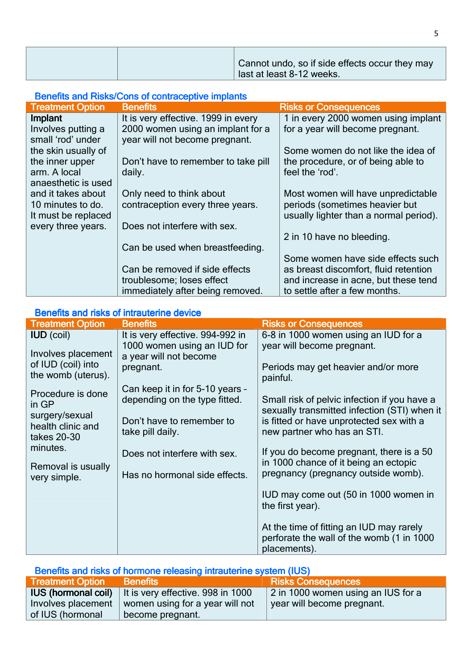|  | Cannot undo, so if side effects occur they may |
|--|------------------------------------------------|
|  | last at least 8-12 weeks.                      |

#### Benefits and Risks/Cons of contraceptive implants

| <b>Treatment Option</b> | <b>Benefits</b>                     | <b>Risks or Consequences</b>           |
|-------------------------|-------------------------------------|----------------------------------------|
| Implant                 | It is very effective. 1999 in every | 1 in every 2000 women using implant    |
| Involves putting a      | 2000 women using an implant for a   | for a year will become pregnant.       |
| small 'rod' under       | year will not become pregnant.      |                                        |
| the skin usually of     |                                     | Some women do not like the idea of     |
| the inner upper         | Don't have to remember to take pill | the procedure, or of being able to     |
| arm. A local            | daily.                              | feel the 'rod'.                        |
| anaesthetic is used     |                                     |                                        |
| and it takes about      | Only need to think about            | Most women will have unpredictable     |
| 10 minutes to do.       | contraception every three years.    | periods (sometimes heavier but         |
| It must be replaced     |                                     | usually lighter than a normal period). |
| every three years.      | Does not interfere with sex.        |                                        |
|                         |                                     | 2 in 10 have no bleeding.              |
|                         | Can be used when breastfeeding.     |                                        |
|                         |                                     | Some women have side effects such      |
|                         | Can be removed if side effects      | as breast discomfort, fluid retention  |
|                         | troublesome; loses effect           | and increase in acne, but these tend   |
|                         | immediately after being removed.    | to settle after a few months.          |

#### Benefits and risks of intrauterine device

| <b>Treatment Option</b>                            | <b>Benefits</b>                                       | <b>Risks or Consequences</b>                                                                          |
|----------------------------------------------------|-------------------------------------------------------|-------------------------------------------------------------------------------------------------------|
| <b>IUD</b> (coil)                                  | It is very effective. 994-992 in                      | 6-8 in 1000 women using an IUD for a                                                                  |
| Involves placement                                 | 1000 women using an IUD for<br>a year will not become | year will become pregnant.                                                                            |
| of IUD (coil) into<br>the womb (uterus).           | pregnant.                                             | Periods may get heavier and/or more<br>painful.                                                       |
| Procedure is done                                  | Can keep it in for 5-10 years -                       |                                                                                                       |
| in GP                                              | depending on the type fitted.                         | Small risk of pelvic infection if you have a<br>sexually transmitted infection (STI) when it          |
| surgery/sexual<br>health clinic and<br>takes 20-30 | Don't have to remember to<br>take pill daily.         | is fitted or have unprotected sex with a<br>new partner who has an STI.                               |
| minutes.                                           | Does not interfere with sex.                          | If you do become pregnant, there is a 50                                                              |
| Removal is usually<br>very simple.                 | Has no hormonal side effects.                         | in 1000 chance of it being an ectopic<br>pregnancy (pregnancy outside womb).                          |
|                                                    |                                                       | IUD may come out (50 in 1000 women in<br>the first year).                                             |
|                                                    |                                                       | At the time of fitting an IUD may rarely<br>perforate the wall of the womb (1 in 1000<br>placements). |

| Benefits and risks of hormone releasing intrauterine system (IUS) |                                                              |                                    |  |  |
|-------------------------------------------------------------------|--------------------------------------------------------------|------------------------------------|--|--|
| <b>Treatment Option</b>                                           | <b>Benefits</b>                                              | <b>Risks Consequences</b>          |  |  |
|                                                                   | <b>IUS (hormonal coil)</b> It is very effective. 998 in 1000 | 2 in 1000 women using an IUS for a |  |  |
| Involves placement                                                | women using for a year will not                              | vear will become pregnant.         |  |  |
| of IUS (hormonal                                                  | become pregnant.                                             |                                    |  |  |